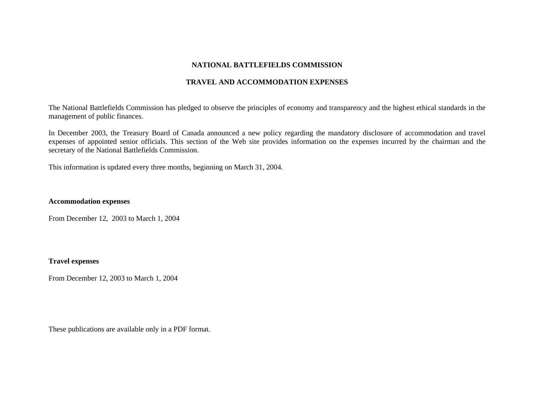## **NATIONAL BATTLEFIELDS COMMISSION**

#### **TRAVEL AND ACCOMMODATION EXPENSES**

The National Battlefields Commission has pledged to observe the principles of economy and transparency and the highest ethical standards in the management of public finances.

In December 2003, the Treasury Board of Canada announced a new policy regarding the mandatory disclosure of accommodation and travel expenses of appointed senior officials. This section of the Web site provides information on the expenses incurred by the chairman and the secretary of the National Battlefields Commission.

This information is updated every three months, beginning on March 31, 2004.

# **Accommodation expenses**

From December 12, 2003 to March 1, 2004

# **Travel expenses**

From December 12, 2003 to March 1, 2004

These publications are available only in a PDF format.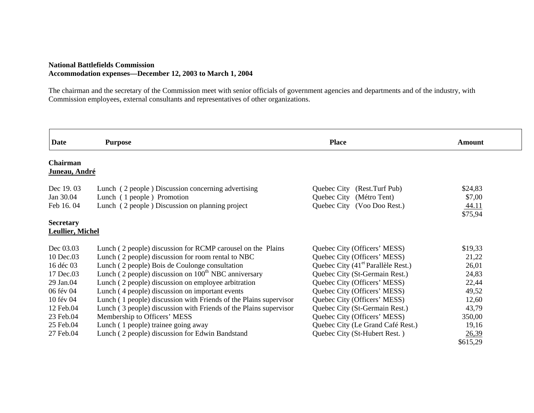## **National Battlefields Commission Accommodation expenses—December 12, 2003 to March 1, 2004**

The chairman and the secretary of the Commission meet with senior officials of government agencies and departments and of the industry, with Commission employees, external consultants and representatives of other organizations.

| <b>Date</b>               | <b>Purpose</b>                                                    | <b>Place</b>                                   | Amount           |
|---------------------------|-------------------------------------------------------------------|------------------------------------------------|------------------|
| Chairman<br>Juneau, André |                                                                   |                                                |                  |
| Dec 19.03                 | Lunch (2 people) Discussion concerning advertising                | Quebec City (Rest.Turf Pub)                    | \$24,83          |
| Jan 30.04                 | Lunch (1 people) Promotion                                        | Quebec City (Métro Tent)                       | \$7,00           |
| Feb 16.04                 | Lunch (2 people) Discussion on planning project                   | Quebec City (Voo Doo Rest.)                    | 44.11<br>\$75,94 |
| <b>Secretary</b>          |                                                                   |                                                |                  |
| <b>Leullier, Michel</b>   |                                                                   |                                                |                  |
| Dec 03.03                 | Lunch (2 people) discussion for RCMP carousel on the Plains       | Quebec City (Officers' MESS)                   | \$19,33          |
| 10 Dec.03                 | Lunch (2 people) discussion for room rental to NBC                | Quebec City (Officers' MESS)                   | 21,22            |
| 16 déc 03                 | Lunch (2 people) Bois de Coulonge consultation                    | Quebec City (41 <sup>et</sup> Parallèle Rest.) | 26,01            |
| 17 Dec.03                 | Lunch (2 people) discussion on 100 <sup>th</sup> NBC anniversary  | Quebec City (St-Germain Rest.)                 | 24,83            |
| 29 Jan.04                 | Lunch (2 people) discussion on employee arbitration               | Quebec City (Officers' MESS)                   | 22,44            |
| 06 fév 04                 | Lunch (4 people) discussion on important events                   | Quebec City (Officers' MESS)                   | 49,52            |
| 10 fév 04                 | Lunch (1 people) discussion with Friends of the Plains supervisor | Quebec City (Officers' MESS)                   | 12,60            |
| 12 Feb.04                 | Lunch (3 people) discussion with Friends of the Plains supervisor | Quebec City (St-Germain Rest.)                 | 43,79            |
| 23 Feb.04                 | Membership to Officers' MESS                                      | Quebec City (Officers' MESS)                   | 350,00           |
| 25 Feb.04                 | Lunch (1 people) trainee going away                               | Quebec City (Le Grand Café Rest.)              | 19,16            |
| 27 Feb.04                 | Lunch (2 people) discussion for Edwin Bandstand                   | Quebec City (St-Hubert Rest.)                  | 26,39            |
|                           |                                                                   |                                                | \$615,29         |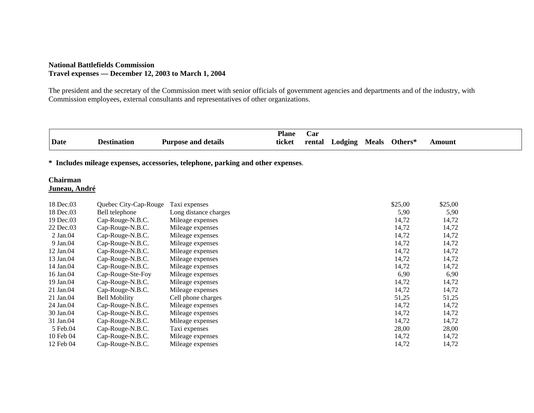## **National Battlefields Commission Travel expenses — December 12, 2003 to March 1, 2004**

The president and the secretary of the Commission meet with senior officials of government agencies and departments and of the industry, with Commission employees, external consultants and representatives of other organizations.

|      |             |                            | <b>Plane</b> | Car    |                |              |         |        |
|------|-------------|----------------------------|--------------|--------|----------------|--------------|---------|--------|
| Date | Destination | <b>Purpose and details</b> | ticket       | rental | <b>Lodging</b> | <b>Meals</b> | Others* | Amount |

**\* Includes mileage expenses, accessories, telephone, parking and other expenses**.

### **Chairman Juneau, André**

| 18 Dec.03     | Quebec City-Cap-Rouge | Taxi expenses         | \$25,00 | \$25,00 |
|---------------|-----------------------|-----------------------|---------|---------|
| 18 Dec.03     | Bell telephone        | Long distance charges | 5,90    | 5,90    |
| 19 Dec.03     | Cap-Rouge-N.B.C.      | Mileage expenses      | 14,72   | 14,72   |
| 22 Dec.03     | Cap-Rouge-N.B.C.      | Mileage expenses      | 14,72   | 14,72   |
| $2$ Jan. $04$ | Cap-Rouge-N.B.C.      | Mileage expenses      | 14,72   | 14,72   |
| 9 Jan.04      | Cap-Rouge-N.B.C.      | Mileage expenses      | 14,72   | 14,72   |
| 12 Jan.04     | Cap-Rouge-N.B.C.      | Mileage expenses      | 14,72   | 14,72   |
| 13 Jan.04     | Cap-Rouge-N.B.C.      | Mileage expenses      | 14,72   | 14,72   |
| 14 Jan.04     | Cap-Rouge-N.B.C.      | Mileage expenses      | 14,72   | 14,72   |
| 16 Jan.04     | Cap-Rouge-Ste-Foy     | Mileage expenses      | 6.90    | 6,90    |
| 19 Jan.04     | Cap-Rouge-N.B.C.      | Mileage expenses      | 14,72   | 14,72   |
| 21 Jan.04     | Cap-Rouge-N.B.C.      | Mileage expenses      | 14,72   | 14,72   |
| 21 Jan.04     | <b>Bell Mobility</b>  | Cell phone charges    | 51,25   | 51,25   |
| 24 Jan.04     | Cap-Rouge-N.B.C.      | Mileage expenses      | 14,72   | 14,72   |
| 30 Jan.04     | Cap-Rouge-N.B.C.      | Mileage expenses      | 14,72   | 14,72   |
| 31 Jan.04     | Cap-Rouge-N.B.C.      | Mileage expenses      | 14,72   | 14,72   |
| 5 Feb.04      | Cap-Rouge-N.B.C.      | Taxi expenses         | 28,00   | 28,00   |
| 10 Feb 04     | Cap-Rouge-N.B.C.      | Mileage expenses      | 14,72   | 14,72   |
| 12 Feb 04     | Cap-Rouge-N.B.C.      | Mileage expenses      | 14,72   | 14,72   |